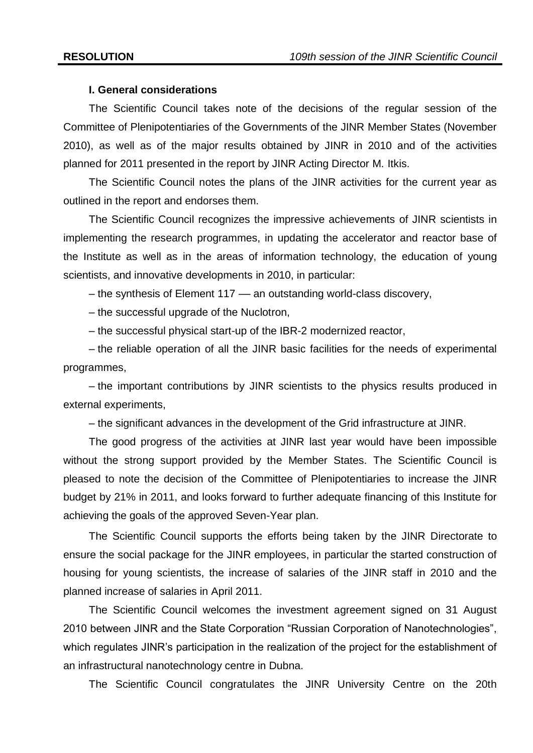## **I. General considerations**

The Scientific Council takes note of the decisions of the regular session of the Committee of Plenipotentiaries of the Governments of the JINR Member States (November 2010), as well as of the major results obtained by JINR in 2010 and of the activities planned for 2011 presented in the report by JINR Acting Director M. Itkis.

The Scientific Council notes the plans of the JINR activities for the current year as outlined in the report and endorses them.

The Scientific Council recognizes the impressive achievements of JINR scientists in implementing the research programmes, in updating the accelerator and reactor base of the Institute as well as in the areas of information technology, the education of young scientists, and innovative developments in 2010, in particular:

– the synthesis of Element 117 –– an outstanding world-class discovery,

– the successful upgrade of the Nuclotron,

– the successful physical start-up of the IBR-2 modernized reactor,

– the reliable operation of all the JINR basic facilities for the needs of experimental programmes,

– the important contributions by JINR scientists to the physics results produced in external experiments,

– the significant advances in the development of the Grid infrastructure at JINR.

The good progress of the activities at JINR last year would have been impossible without the strong support provided by the Member States. The Scientific Council is pleased to note the decision of the Committee of Plenipotentiaries to increase the JINR budget by 21% in 2011, and looks forward to further adequate financing of this Institute for achieving the goals of the approved Seven-Year plan.

The Scientific Council supports the efforts being taken by the JINR Directorate to ensure the social package for the JINR employees, in particular the started construction of housing for young scientists, the increase of salaries of the JINR staff in 2010 and the planned increase of salaries in April 2011.

The Scientific Council welcomes the investment agreement signed on 31 August 2010 between JINR and the State Corporation "Russian Corporation of Nanotechnologies", which regulates JINR's participation in the realization of the project for the establishment of an infrastructural nanotechnology centre in Dubna.

The Scientific Council congratulates the JINR University Centre on the 20th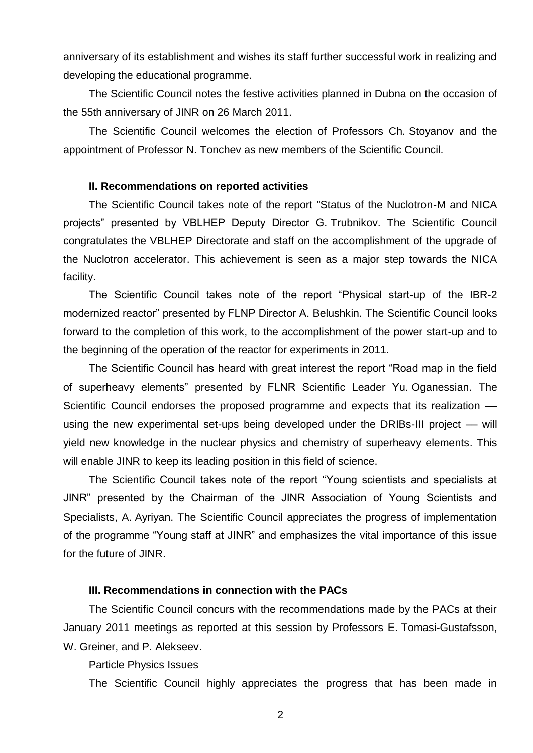anniversary of its establishment and wishes its staff further successful work in realizing and developing the educational programme.

The Scientific Council notes the festive activities planned in Dubna on the occasion of the 55th anniversary of JINR on 26 March 2011.

The Scientific Council welcomes the election of Professors Ch. Stoyanov and the appointment of Professor N. Tonchev as new members of the Scientific Council.

### **II. Recommendations on reported activities**

The Scientific Council takes note of the report "Status of the Nuclotron-M and NICA projects" presented by VBLHEP Deputy Director G. Trubnikov. The Scientific Council congratulates the VBLHEP Directorate and staff on the accomplishment of the upgrade of the Nuclotron accelerator. This achievement is seen as a major step towards the NICA facility.

The Scientific Council takes note of the report "Physical start-up of the IBR-2 modernized reactor" presented by FLNP Director A. Belushkin. The Scientific Council looks forward to the completion of this work, to the accomplishment of the power start-up and to the beginning of the operation of the reactor for experiments in 2011.

The Scientific Council has heard with great interest the report "Road map in the field of superheavy elements" presented by FLNR Scientific Leader Yu. Oganessian. The Scientific Council endorses the proposed programme and expects that its realization – using the new experimental set-ups being developed under the DRIBs-III project — will yield new knowledge in the nuclear physics and chemistry of superheavy elements. This will enable JINR to keep its leading position in this field of science.

The Scientific Council takes note of the report "Young scientists and specialists at JINR" presented by the Chairman of the JINR Association of Young Scientists and Specialists, A. Ayriyan. The Scientific Council appreciates the progress of implementation of the programme "Young staff at JINR" and emphasizes the vital importance of this issue for the future of JINR.

## **III. Recommendations in connection with the PACs**

The Scientific Council concurs with the recommendations made by the PACs at their January 2011 meetings as reported at this session by Professors E. Tomasi-Gustafsson, W. Greiner, and P. Alekseev.

#### Particle Physics Issues

The Scientific Council highly appreciates the progress that has been made in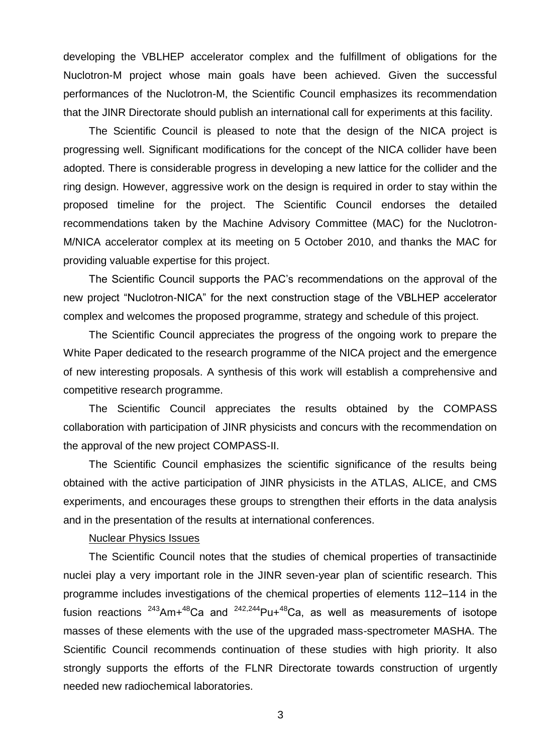developing the VBLHEP accelerator complex and the fulfillment of obligations for the Nuclotron-M project whose main goals have been achieved. Given the successful performances of the Nuclotron-M, the Scientific Council emphasizes its recommendation that the JINR Directorate should publish an international call for experiments at this facility.

The Scientific Council is pleased to note that the design of the NICA project is progressing well. Significant modifications for the concept of the NICA collider have been adopted. There is considerable progress in developing a new lattice for the collider and the ring design. However, aggressive work on the design is required in order to stay within the proposed timeline for the project. The Scientific Council endorses the detailed recommendations taken by the Machine Advisory Committee (MAC) for the Nuclotron-M/NICA accelerator complex at its meeting on 5 October 2010, and thanks the MAC for providing valuable expertise for this project.

The Scientific Council supports the PAC's recommendations on the approval of the new project "Nuclotron-NICA" for the next construction stage of the VBLHEP accelerator complex and welcomes the proposed programme, strategy and schedule of this project.

The Scientific Council appreciates the progress of the ongoing work to prepare the White Paper dedicated to the research programme of the NICA project and the emergence of new interesting proposals. A synthesis of this work will establish a comprehensive and competitive research programme.

The Scientific Council appreciates the results obtained by the COMPASS collaboration with participation of JINR physicists and concurs with the recommendation on the approval of the new project COMPASS-II.

The Scientific Council emphasizes the scientific significance of the results being obtained with the active participation of JINR physicists in the ATLAS, ALICE, and CMS experiments, and encourages these groups to strengthen their efforts in the data analysis and in the presentation of the results at international conferences.

### Nuclear Physics Issues

The Scientific Council notes that the studies of chemical properties of transactinide nuclei play a very important role in the JINR seven-year plan of scientific research. This programme includes investigations of the chemical properties of elements 112–114 in the fusion reactions  $243$ Am+ $48$ Ca and  $242,244$ Pu+ $48$ Ca, as well as measurements of isotope masses of these elements with the use of the upgraded mass-spectrometer MASHA. The Scientific Council recommends continuation of these studies with high priority. It also strongly supports the efforts of the FLNR Directorate towards construction of urgently needed new radiochemical laboratories.

3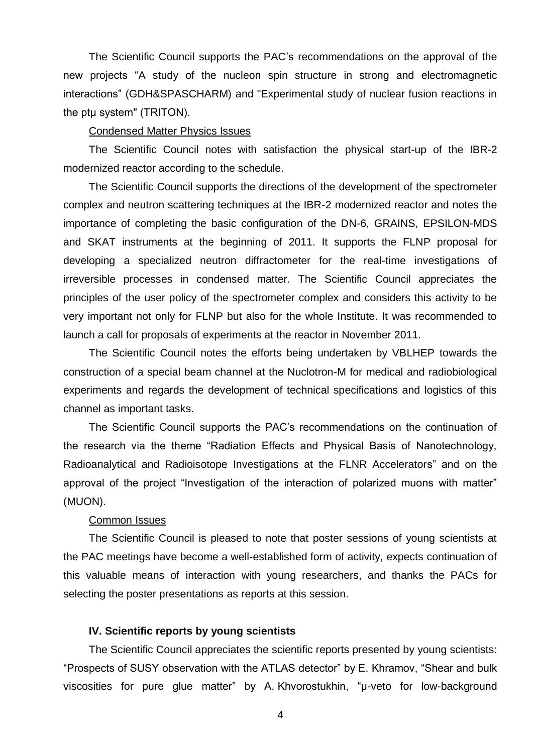The Scientific Council supports the PAC's recommendations on the approval of the new projects "A study of the nucleon spin structure in strong and electromagnetic interactions" (GDH&SPASCHARM) and "Experimental study of nuclear fusion reactions in the ptμ system" (TRITON).

#### Condensed Matter Physics Issues

The Scientific Council notes with satisfaction the physical start-up of the IBR-2 modernized reactor according to the schedule.

The Scientific Council supports the directions of the development of the spectrometer complex and neutron scattering techniques at the IBR-2 modernized reactor and notes the importance of completing the basic configuration of the DN-6, GRAINS, EPSILON-MDS and SKAT instruments at the beginning of 2011. It supports the FLNP proposal for developing a specialized neutron diffractometer for the real-time investigations of irreversible processes in condensed matter. The Scientific Council appreciates the principles of the user policy of the spectrometer complex and considers this activity to be very important not only for FLNP but also for the whole Institute. It was recommended to launch a call for proposals of experiments at the reactor in November 2011.

The Scientific Council notes the efforts being undertaken by VBLHEP towards the construction of a special beam channel at the Nuclotron-M for medical and radiobiological experiments and regards the development of technical specifications and logistics of this channel as important tasks.

The Scientific Council supports the PAC's recommendations on the continuation of the research via the theme "Radiation Effects and Physical Basis of Nanotechnology, Radioanalytical and Radioisotope Investigations at the FLNR Accelerators" and on the approval of the project "Investigation of the interaction of polarized muons with matter" (MUON).

#### Common Issues

The Scientific Council is pleased to note that poster sessions of young scientists at the PAC meetings have become a well-established form of activity, expects continuation of this valuable means of interaction with young researchers, and thanks the PACs for selecting the poster presentations as reports at this session.

## **IV. Scientific reports by young scientists**

The Scientific Council appreciates the scientific reports presented by young scientists: "Prospects of SUSY observation with the ATLAS detector" by E. Khramov, "Shear and bulk viscosities for pure glue matter" by A. Khvorostukhin, "μ-veto for low-background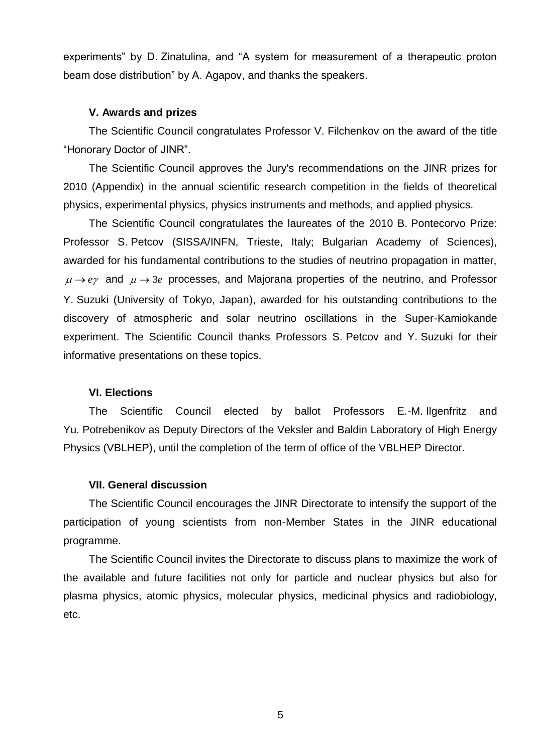experiments" by D. Zinatulina, and "A system for measurement of a therapeutic proton beam dose distribution" by A. Agapov, and thanks the speakers.

# **V. Awards and prizes**

The Scientific Council congratulates Professor V. Filchenkov on the award of the title "Honorary Doctor of JINR".

The Scientific Council approves the Jury's recommendations on the JINR prizes for 2010 (Appendix) in the annual scientific research competition in the fields of theoretical physics, experimental physics, physics instruments and methods, and applied physics.

The Scientific Council congratulates the laureates of the 2010 B. Pontecorvo Prize: Professor S. Petcov (SISSA/INFN, Trieste, Italy; Bulgarian Academy of Sciences), awarded for his fundamental contributions to the studies of neutrino propagation in matter,  $\mu \rightarrow e\gamma$  and  $\mu \rightarrow 3e$  processes, and Majorana properties of the neutrino, and Professor Y. Suzuki (University of Tokyo, Japan), awarded for his outstanding contributions to the discovery of atmospheric and solar neutrino oscillations in the Super-Kamiokande experiment. The Scientific Council thanks Professors S. Petcov and Y. Suzuki for their informative presentations on these topics.

## **VI. Elections**

The Scientific Council elected by ballot Professors E.-M. Ilgenfritz and Yu. Potrebenikov as Deputy Directors of the Veksler and Baldin Laboratory of High Energy Physics (VBLHEP), until the completion of the term of office of the VBLHEP Director.

# **VII. General discussion**

The Scientific Council encourages the JINR Directorate to intensify the support of the participation of young scientists from non-Member States in the JINR educational programme.

The Scientific Council invites the Directorate to discuss plans to maximize the work of the available and future facilities not only for particle and nuclear physics but also for plasma physics, atomic physics, molecular physics, medicinal physics and radiobiology, etc.